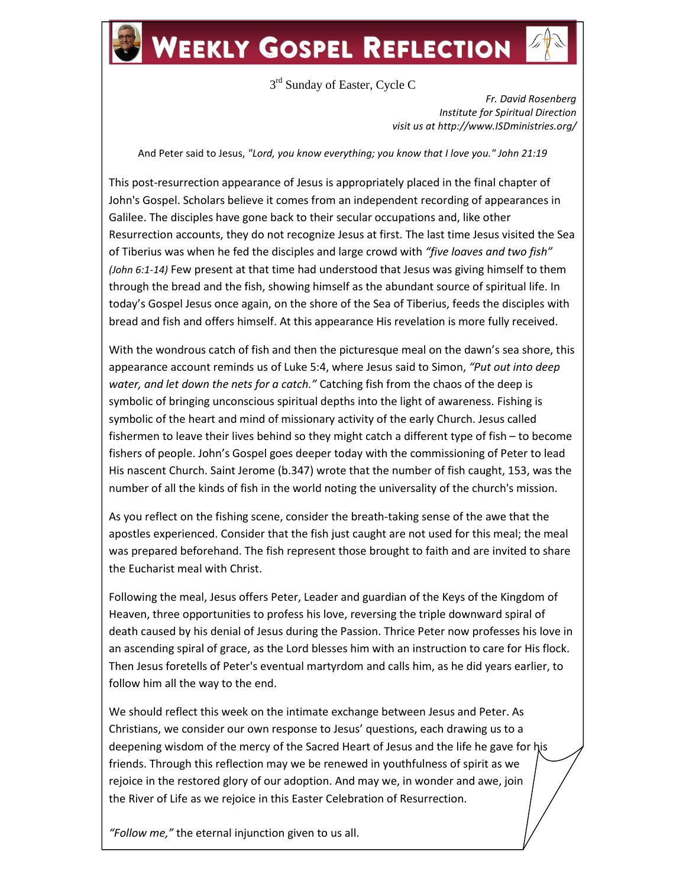## **WEEKLY GOSPEL REFLECTION**

3<sup>rd</sup> Sunday of Easter, Cycle C

*Fr. David Rosenberg Institute for Spiritual Direction visit us at http://www.ISDministries.org/*

And Peter said to Jesus, *"Lord, you know everything; you know that I love you." John 21:19*

This post-resurrection appearance of Jesus is appropriately placed in the final chapter of John's Gospel. Scholars believe it comes from an independent recording of appearances in Galilee. The disciples have gone back to their secular occupations and, like other Resurrection accounts, they do not recognize Jesus at first. The last time Jesus visited the Sea of Tiberius was when he fed the disciples and large crowd with *"five loaves and two fish" (John 6:1-14)* Few present at that time had understood that Jesus was giving himself to them through the bread and the fish, showing himself as the abundant source of spiritual life. In today's Gospel Jesus once again, on the shore of the Sea of Tiberius, feeds the disciples with bread and fish and offers himself. At this appearance His revelation is more fully received.

With the wondrous catch of fish and then the picturesque meal on the dawn's sea shore, this appearance account reminds us of Luke 5:4, where Jesus said to Simon, *"Put out into deep water, and let down the nets for a catch."* Catching fish from the chaos of the deep is symbolic of bringing unconscious spiritual depths into the light of awareness. Fishing is symbolic of the heart and mind of missionary activity of the early Church. Jesus called fishermen to leave their lives behind so they might catch a different type of fish – to become fishers of people. John's Gospel goes deeper today with the commissioning of Peter to lead His nascent Church. Saint Jerome (b.347) wrote that the number of fish caught, 153, was the number of all the kinds of fish in the world noting the universality of the church's mission.

As you reflect on the fishing scene, consider the breath-taking sense of the awe that the apostles experienced. Consider that the fish just caught are not used for this meal; the meal was prepared beforehand. The fish represent those brought to faith and are invited to share the Eucharist meal with Christ.

Following the meal, Jesus offers Peter, Leader and guardian of the Keys of the Kingdom of Heaven, three opportunities to profess his love, reversing the triple downward spiral of death caused by his denial of Jesus during the Passion. Thrice Peter now professes his love in an ascending spiral of grace, as the Lord blesses him with an instruction to care for His flock. Then Jesus foretells of Peter's eventual martyrdom and calls him, as he did years earlier, to follow him all the way to the end.

We should reflect this week on the intimate exchange between Jesus and Peter. As Christians, we consider our own response to Jesus' questions, each drawing us to a deepening wisdom of the mercy of the Sacred Heart of Jesus and the life he gave for his friends. Through this reflection may we be renewed in youthfulness of spirit as we rejoice in the restored glory of our adoption. And may we, in wonder and awe, join the River of Life as we rejoice in this Easter Celebration of Resurrection.

*"Follow me,"* the eternal injunction given to us all.